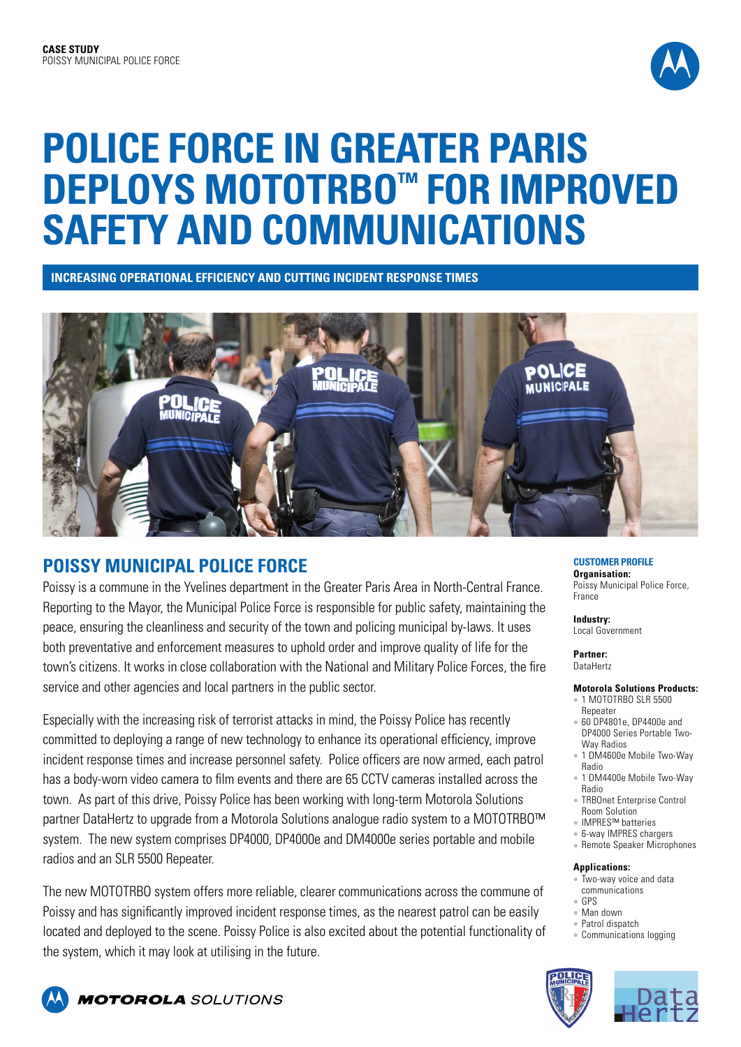

# **POLICE FORCE IN GREATER PARIS DEPLOYS MOTOTRBO™ FOR IMPROVED SAFETY AND COMMUNICATIONS**

**INCREASING OPERATIONAL EFFICIENCY AND CUTTING INCIDENT RESPONSE TIMES**



# **POISSY MUNICIPAL POLICE FORCE**

Poissy is a commune in the Yvelines department in the Greater Paris Area in North-Central France. Reporting to the Mayor, the Municipal Police Force is responsible for public safety, maintaining the peace, ensuring the cleanliness and security of the town and policing municipal by-laws. It uses both preventative and enforcement measures to uphold order and improve quality of life for the town's citizens. It works in close collaboration with the National and Military Police Forces, the fire service and other agencies and local partners in the public sector.

Especially with the increasing risk of terrorist attacks in mind, the Poissy Police has recently committed to deploying a range of new technology to enhance its operational efficiency, improve incident response times and increase personnel safety. Police officers are now armed, each patrol has a body-worn video camera to film events and there are 65 CCTV cameras installed across the town. As part of this drive, Poissy Police has been working with long-term Motorola Solutions partner DataHertz to upgrade from a Motorola Solutions analogue radio system to a MOTOTRBO™ system. The new system comprises DP4000, DP4000e and DM4000e series portable and mobile radios and an SLR 5500 Repeater.

The new MOTOTRBO system offers more reliable, clearer communications across the commune of Poissy and has significantly improved incident response times, as the nearest patrol can be easily located and deployed to the scene. Poissy Police is also excited about the potential functionality of the system, which it may look at utilising in the future.

#### **CUSTOMER PROFILE Organisation:**

Poissy Municipal Police Force, France

#### **Industry:** Local Government

**Partner:**  DataHertz

#### **Motorola Solutions Products:**

- 1 MOTOTRBO SLR 5500 Repeater
- <sup>l</sup> 60 DP4801e, DP4400e and DP4000 Series Portable Two-Way Radios
- 1 DM4600e Mobile Two-Way Radio
- 1 DM4400e Mobile Two-Way Radio
- **TRBOnet Enterprise Control** Room Solution
- <sup>l</sup> IMPRES™ batteries
- **6-way IMPRES chargers**  $\bullet$  Remote Speaker Microphones

#### **Applications:**

- **Two-way voice and data**
- communications <sup>l</sup> GPS
- <sup>l</sup> Man down
- Patrol dispatch
- Communications logging